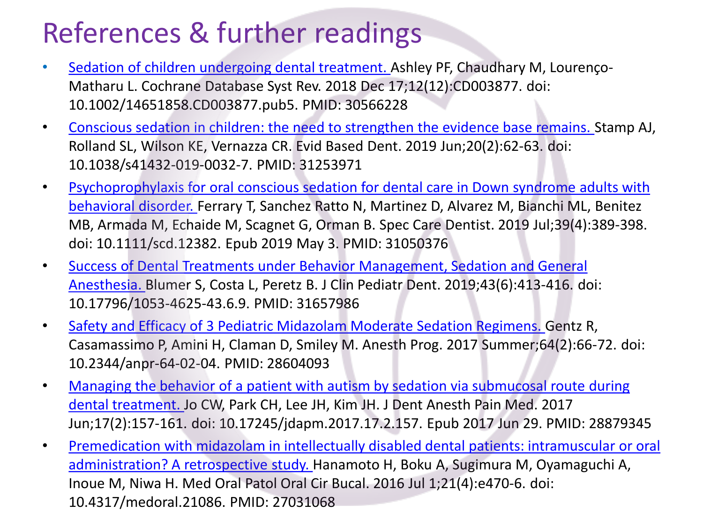## References & further readings

- Sedation of children undergoing [dental treatment.](about:blank) Ashley PF, Chaudhary M, Lourenço-Matharu L. Cochrane Database Syst Rev. 2018 Dec 17;12(12):CD003877. doi: 10.1002/14651858.CD003877.pub5. PMID: 30566228
- [Conscious sedation in children: the need to strengthen the evidence base remains. S](about:blank)tamp AJ, Rolland SL, Wilson KE, Vernazza CR. Evid Based Dent. 2019 Jun;20(2):62-63. doi: 10.1038/s41432-019-0032-7. PMID: 31253971
- Psychoprophylaxis for oral conscious sedation for dental care in Down syndrome adults with behavioral disorder. Ferrary T, Sanchez Ratto [N, Martinez D, Alvarez M, Bianchi ML, Benitez](about:blank) MB, Armada M, Echaide M, Scagnet G, Orman B. Spec Care Dentist. 2019 Jul;39(4):389-398. doi: 10.1111/scd.12382. Epub 2019 May 3. PMID: 31050376
- Success of Dental Treatments under Behavior Management, Sedation and General Anesthesia. Blumer S, Costa L, Peretz B. J Clin Pediatr [Dent. 2019;43\(6\):413-416. do](about:blank)i: 10.17796/1053-4625-43.6.9. PMID: 31657986
- Safety and Efficacy [of 3 Pediatric](about:blank) Midazolam Moderate Sedation Regimens. Gentz R, Casamassimo P, Amini H, Claman D, Smiley M. Anesth Prog. 2017 Summer;64(2):66-72. doi: 10.2344/anpr-64-02-04. PMID: 28604093
- Managing the behavior of a patient with autism by sedation via submucosal route during [dental treatment. Jo CW, Park CH, Lee JH, Kim JH. J Dent Anesth](about:blank) Pain Med. 2017 Jun;17(2):157-161. doi: 10.17245/jdapm.2017.17.2.157. Epub 2017 Jun 29. PMID: 28879345
- Premedication with midazolam in intellectually disabled dental patients: intramuscular or oral [administration? A retrospective](about:blank) study. Hanamoto H, Boku A, Sugimura M, Oyamaguchi A, Inoue M, Niwa H. Med Oral Patol Oral Cir Bucal. 2016 Jul 1;21(4):e470-6. doi: 10.4317/medoral.21086. PMID: 27031068